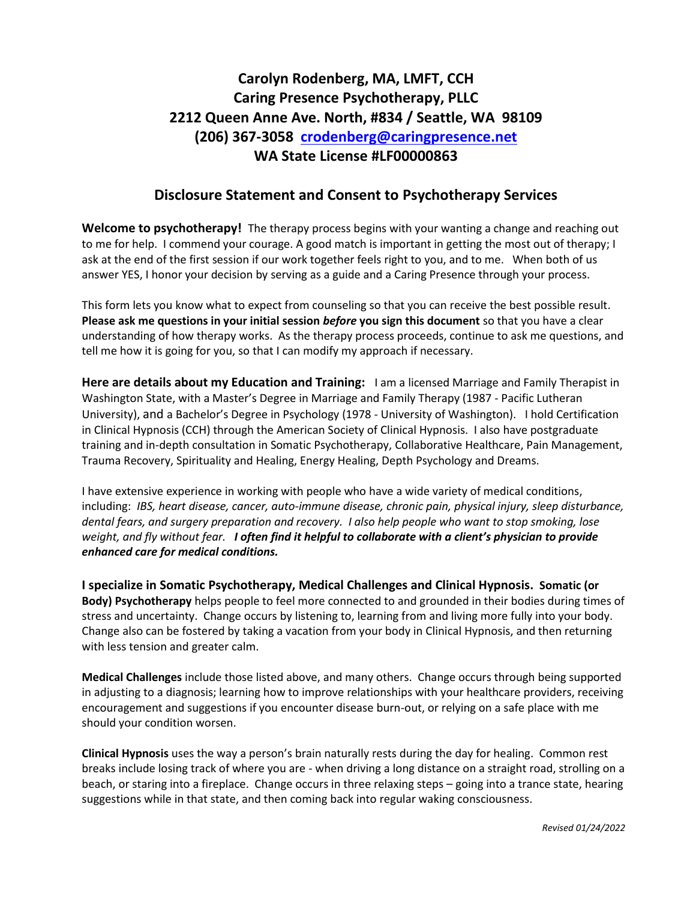## **Carolyn Rodenberg, MA, LMFT, CCH Caring Presence Psychotherapy, PLLC 2212 Queen Anne Ave. North, #834 / Seattle, WA 98109 (206) 367-3058 [crodenberg@caringpresence.net](mailto:crodenberg@caringpresence.net) WA State License #LF00000863**

## **Disclosure Statement and Consent to Psychotherapy Services**

**Welcome to psychotherapy!** The therapy process begins with your wanting a change and reaching out to me for help. I commend your courage. A good match is important in getting the most out of therapy; I ask at the end of the first session if our work together feels right to you, and to me. When both of us answer YES, I honor your decision by serving as a guide and a Caring Presence through your process.

This form lets you know what to expect from counseling so that you can receive the best possible result. **Please ask me questions in your initial session** *before* **you sign this document** so that you have a clear understanding of how therapy works. As the therapy process proceeds, continue to ask me questions, and tell me how it is going for you, so that I can modify my approach if necessary.

**Here are details about my Education and Training:** I am a licensed Marriage and Family Therapist in Washington State, with a Master's Degree in Marriage and Family Therapy (1987 - Pacific Lutheran University), and a Bachelor's Degree in Psychology (1978 - University of Washington). I hold Certification in Clinical Hypnosis (CCH) through the American Society of Clinical Hypnosis. I also have postgraduate training and in-depth consultation in Somatic Psychotherapy, Collaborative Healthcare, Pain Management, Trauma Recovery, Spirituality and Healing, Energy Healing, Depth Psychology and Dreams.

I have extensive experience in working with people who have a wide variety of medical conditions, including: *IBS, heart disease, cancer, auto-immune disease, chronic pain, physical injury, sleep disturbance, dental fears, and surgery preparation and recovery. I also help people who want to stop smoking, lose weight, and fly without fear. I often find it helpful to collaborate with a client's physician to provide enhanced care for medical conditions.*

**I specialize in Somatic Psychotherapy, Medical Challenges and Clinical Hypnosis. Somatic (or Body) Psychotherapy** helps people to feel more connected to and grounded in their bodies during times of stress and uncertainty. Change occurs by listening to, learning from and living more fully into your body. Change also can be fostered by taking a vacation from your body in Clinical Hypnosis, and then returning with less tension and greater calm.

**Medical Challenges** include those listed above, and many others. Change occurs through being supported in adjusting to a diagnosis; learning how to improve relationships with your healthcare providers, receiving encouragement and suggestions if you encounter disease burn-out, or relying on a safe place with me should your condition worsen.

**Clinical Hypnosis** uses the way a person's brain naturally rests during the day for healing. Common rest breaks include losing track of where you are - when driving a long distance on a straight road, strolling on a beach, or staring into a fireplace. Change occurs in three relaxing steps – going into a trance state, hearing suggestions while in that state, and then coming back into regular waking consciousness.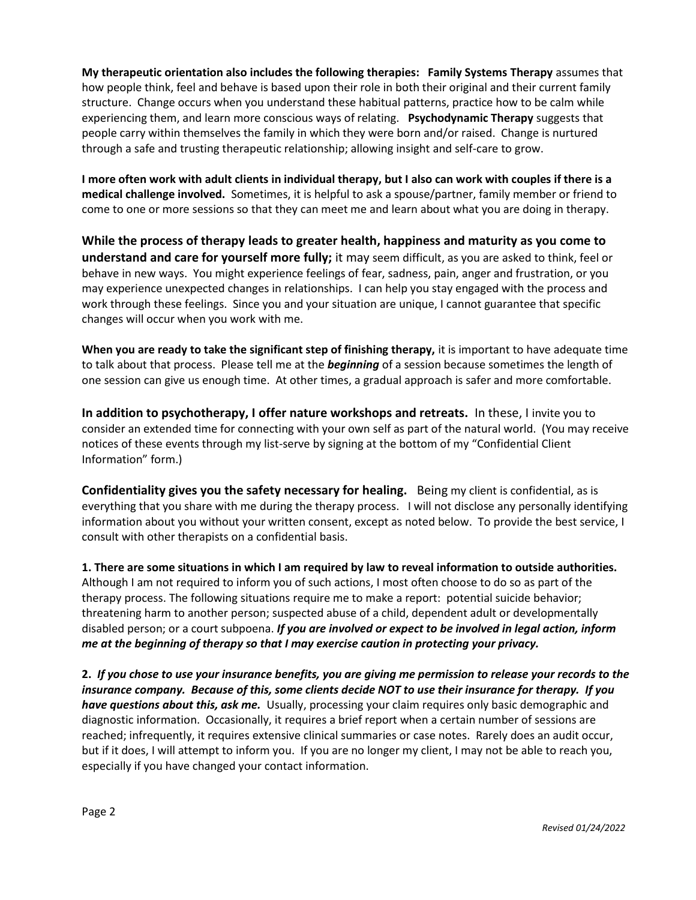**My therapeutic orientation also includes the following therapies: Family Systems Therapy** assumes that how people think, feel and behave is based upon their role in both their original and their current family structure. Change occurs when you understand these habitual patterns, practice how to be calm while experiencing them, and learn more conscious ways of relating. **Psychodynamic Therapy** suggests that people carry within themselves the family in which they were born and/or raised. Change is nurtured through a safe and trusting therapeutic relationship; allowing insight and self-care to grow.

**I more often work with adult clients in individual therapy, but I also can work with couples if there is a medical challenge involved.** Sometimes, it is helpful to ask a spouse/partner, family member or friend to come to one or more sessions so that they can meet me and learn about what you are doing in therapy.

**While the process of therapy leads to greater health, happiness and maturity as you come to understand and care for yourself more fully;** it may seem difficult, as you are asked to think, feel or behave in new ways. You might experience feelings of fear, sadness, pain, anger and frustration, or you may experience unexpected changes in relationships. I can help you stay engaged with the process and work through these feelings. Since you and your situation are unique, I cannot guarantee that specific changes will occur when you work with me.

**When you are ready to take the significant step of finishing therapy,** it is important to have adequate time to talk about that process. Please tell me at the *beginning* of a session because sometimes the length of one session can give us enough time. At other times, a gradual approach is safer and more comfortable.

**In addition to psychotherapy, I offer nature workshops and retreats.** In these, I invite you to consider an extended time for connecting with your own self as part of the natural world. (You may receive notices of these events through my list-serve by signing at the bottom of my "Confidential Client Information" form.)

**Confidentiality gives you the safety necessary for healing.** Being my client is confidential, as is everything that you share with me during the therapy process. I will not disclose any personally identifying information about you without your written consent, except as noted below. To provide the best service, I consult with other therapists on a confidential basis.

**1. There are some situations in which I am required by law to reveal information to outside authorities.** Although I am not required to inform you of such actions, I most often choose to do so as part of the therapy process. The following situations require me to make a report: potential suicide behavior; threatening harm to another person; suspected abuse of a child, dependent adult or developmentally disabled person; or a court subpoena. *If you are involved or expect to be involved in legal action, inform me at the beginning of therapy so that I may exercise caution in protecting your privacy.*

**2.** *If you chose to use your insurance benefits, you are giving me permission to release your records to the insurance company. Because of this, some clients decide NOT to use their insurance for therapy. If you have questions about this, ask me.* Usually, processing your claim requires only basic demographic and diagnostic information. Occasionally, it requires a brief report when a certain number of sessions are reached; infrequently, it requires extensive clinical summaries or case notes. Rarely does an audit occur, but if it does, I will attempt to inform you. If you are no longer my client, I may not be able to reach you, especially if you have changed your contact information.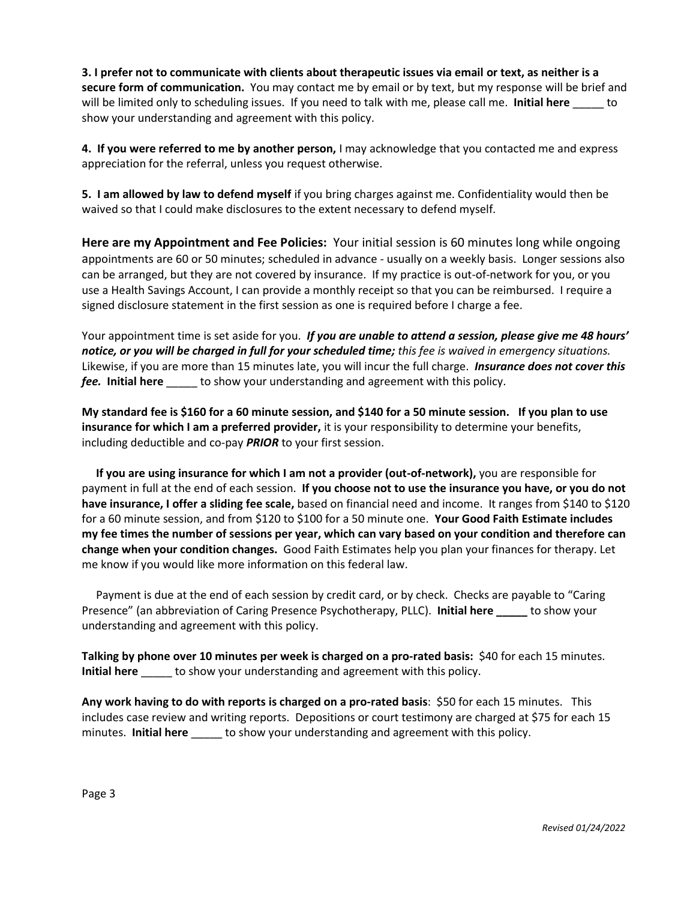**3. I prefer not to communicate with clients about therapeutic issues via email or text, as neither is a secure form of communication.** You may contact me by email or by text, but my response will be brief and will be limited only to scheduling issues. If you need to talk with me, please call me. **Initial here** to show your understanding and agreement with this policy.

**4. If you were referred to me by another person,** I may acknowledge that you contacted me and express appreciation for the referral, unless you request otherwise.

**5. I am allowed by law to defend myself** if you bring charges against me. Confidentiality would then be waived so that I could make disclosures to the extent necessary to defend myself.

**Here are my Appointment and Fee Policies:** Your initial session is 60 minutes long while ongoing appointments are 60 or 50 minutes; scheduled in advance - usually on a weekly basis. Longer sessions also can be arranged, but they are not covered by insurance. If my practice is out-of-network for you, or you use a Health Savings Account, I can provide a monthly receipt so that you can be reimbursed. I require a signed disclosure statement in the first session as one is required before I charge a fee.

Your appointment time is set aside for you. *If you are unable to attend a session, please give me 48 hours' notice, or you will be charged in full for your scheduled time; this fee is waived in emergency situations.* Likewise, if you are more than 15 minutes late, you will incur the full charge. *Insurance does not cover this fee.* **Initial here** \_\_\_\_\_ to show your understanding and agreement with this policy.

**My standard fee is \$160 for a 60 minute session, and \$140 for a 50 minute session. If you plan to use insurance for which I am a preferred provider,** it is your responsibility to determine your benefits, including deductible and co-pay *PRIOR* to your first session.

 **If you are using insurance for which I am not a provider (out-of-network),** you are responsible for payment in full at the end of each session. **If you choose not to use the insurance you have, or you do not have insurance, I offer a sliding fee scale,** based on financial need and income. It ranges from \$140 to \$120 for a 60 minute session, and from \$120 to \$100 for a 50 minute one. **Your Good Faith Estimate includes my fee times the number of sessions per year, which can vary based on your condition and therefore can change when your condition changes.** Good Faith Estimates help you plan your finances for therapy. Let me know if you would like more information on this federal law.

 Payment is due at the end of each session by credit card, or by check. Checks are payable to "Caring Presence" (an abbreviation of Caring Presence Psychotherapy, PLLC). **Initial here \_\_\_\_\_** to show your understanding and agreement with this policy.

**Talking by phone over 10 minutes per week is charged on a pro-rated basis:** \$40 for each 15 minutes. **Initial here** \_\_\_\_\_ to show your understanding and agreement with this policy.

**Any work having to do with reports is charged on a pro-rated basis**: \$50 for each 15 minutes.This includes case review and writing reports. Depositions or court testimony are charged at \$75 for each 15 minutes. **Initial here** bo show your understanding and agreement with this policy.